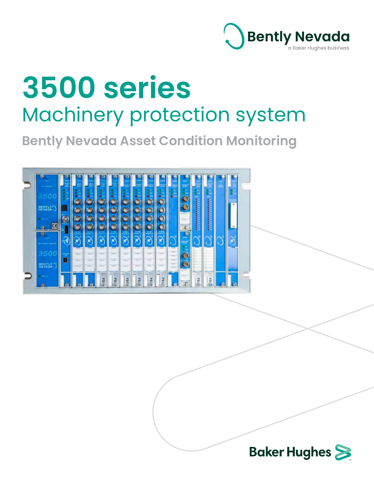

# **3500 series** Machinery protection system

**Bently Nevada Asset Condition Monitoring**



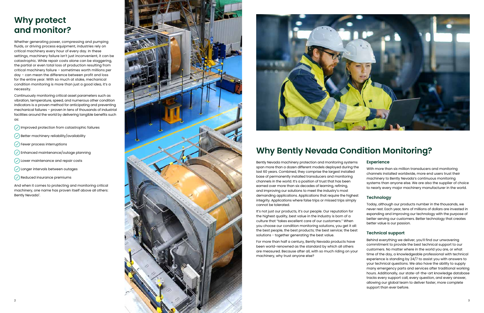## **Why protect and monitor?**

Whether generating power, compressing and pumping fluids, or driving process equipment, industries rely on critical machinery every hour of every day. In these settings, machinery failure isn't just inconvenient, it can be catastrophic. While repair costs alone can be staggering, the partial or even total loss of production resulting from critical machinery failure – sometimes worth millions per day – can mean the difference between profit and loss for the entire year. With so much at stake, mechanical condition monitoring is more than just a good idea, it's a necessity.

Continuously monitoring critical asset parameters such as vibration, temperature, speed, and numerous other condition indicators is a proven method for anticipating and preventing mechanical failures – proven in tens of thousands of industrial facilities around the world by delivering tangible benefits such as:

 $\mathcal{L}$  Improved protection from catastrophic failures

- $\mathcal{L}(\mathcal{D})$  Better machinery reliability/availability
- $(\checkmark)$  Fewer process interruptions
- $\circledcirc$  Enhanced maintenance/outage planning
- $(\check{a})$  Lower maintenance and repair costs
- $(\checkmark)$  Longer intervals between outages
- $\left(\sqrt{\right)}$  Reduced insurance premiums

It's not just our products, it's our people. Our reputation for the highest quality, best value in the industry is born of a culture that "takes excellent care of our customers." When you choose our condition monitoring solutions, you get it all: the best people, the best products; the best service; the best solutions - together generating the best value.

And when it comes to protecting and monitoring critical machinery, one name has proven itself above all others: Bently Nevada † .





## **Why Bently Nevada Condition Monitoring?**

Bently Nevada machinery protection and monitoring systems span more than a dozen different models deployed during the last 60 years. Combined, they comprise the largest installed base of permanently installed transducers and monitoring channels in the world. It's a position of trust that has been earned over more than six decades of learning, refining, and improving our solutions to meet the industry's most demanding applications. Applications that require the highest integrity. Applications where false trips or missed trips simply cannot be tolerated. **Experience** With more than six million transducers and monitoring channels installed worldwide, more end users trust their machinery to Bently Nevada's continuous monitoring systems than anyone else. We are also the supplier of choice to nearly every major machinery manufacturer in the world. **Technology** Today, although our products number in the thousands, we

For more than half a century, Bently Nevada products have been world-renowned as the standard by which all others are measured. Because after all, with so much riding on your machinery, why trust anyone else?

never rest. Each year, tens of millions of dollars are invested in expanding and improving our technology with the purpose of better serving our customers. Better technology that creates better value is our passion.

### **Technical support**

Behind everything we deliver, you'll find our unwavering commitment to provide the best technical support to our customers. No matter where in the world you are, or what time of the day, a knowledgeable professional with technical experience is standing by 24/7 to assist you with answers to your technical questions. We also have the ability to supply many emergency parts and services after traditional working hours. Additionally, our state-of-the-art knowledge database tracks every support call, every question, and every answer, allowing our global team to deliver faster, more complete support than ever before.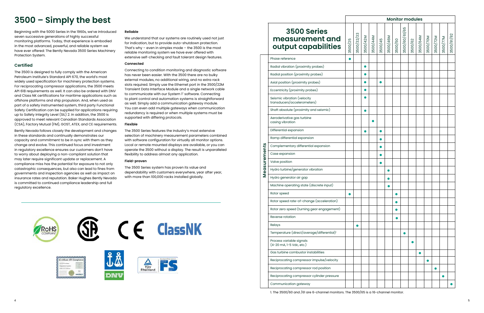## **3500 – Simply the best**

Beginning with the 5000 Series in the 1960s, we've introduced seven successive generations of highly successful monitoring platforms. Today, that experience is embodied in the most advanced, powerful, and reliable system we have ever offered: The Bently Nevada 3500 Series Machinery Protection System.

### **Certified**

The 3500 is designed to fully comply with the American Petroleum Institute's Standard API 670, the world's most widely used specification for machinery protection systems. For reciprocating compressor applications, the 3500 meets API 618 requirements as well. It can also be ordered with DNV and Class NK certifications for maritime applications such as offshore platforms and ship propulsion. And, when used as part of a safety instrumented system, third party Functional Safety Certification can be supplied for applications requiring up to Safety Integrity Level (SIL) 2. In addition, the 3500 is approved to meet relevant Canadian Standards Association (CSA), Factory Mutual (FM), GOST, ATEX, and CE requirements.

Bently Nevada follows closely the development and changes in these standards and continually demonstrates our capacity and commitment to be in sync with them as they change and evolve. This continued focus and investment in regulatory excellence ensures our customers don't have to worry about deploying a non-compliant solution that may later require significant update or replacement. A compliance miss has the potential for exposure to not only catastrophic consequences, but also can lead to fines from governments and inspection agencies as well as impact on insurance rates and reputation. Baker Hughes Bently Nevada is committed to continued compliance leadership and full regulatory excellence.

### **Reliable**

We understand that our systems are routinely used not just for indication, but to provide auto-shutdown protection. That's why – even in simplex mode – the  $3500$  is the most reliable monitoring system we have ever offered with extensive self-checking and fault tolerant design features.

### **Connected**

Connecting to condition monitoring and diagnostic software has never been easier. With the 3500 there are no bulky external modules, no additional wiring, and no extra rack slots required. Simply use the Ethernet port in the 3500/22M Transient Data Interface Module and a single network cable to communicate with our System 1† software. Connecting to plant control and automation systems is straightforward as well. Simply add a communication gateway module. You can even add multiple gateways when communication redundancy is required or when multiple systems must be supported with differing protocols.

### **Flexible**

The 3500 Series features the industry's most extensive selection of machinery measurement parameters combined with software configuration for virtually all monitor options. Local or remote mounted displays are available, or you can operate the 3500 without a display. The result is unparalleled flexibility to address almost any application.

### **Field-proven**

The 3500 Series system has proven its value and dependability with customers everywhere, year after year, with more than 100,000 racks installed globally.



### **3500 Series measurement and output capabilities**

**Measurements**

Measurements

| Phase reference                                            |  |
|------------------------------------------------------------|--|
| Radial vibration (proximity probes)                        |  |
| Radial position (proximity probes)                         |  |
| Axial position (proximity probes)                          |  |
| Eccentricity (proximity probes)                            |  |
| Seismic vibration (velocity<br>transducers/accelerometers) |  |
| Shaft absolute (proximity and seismic)                     |  |
| Aeroderivative gas turbine<br>casing vibration             |  |
| Differential expansion                                     |  |
| Ramp differential expansion                                |  |
| Complementary differential expansion                       |  |
| Case expansion                                             |  |
| Valve position                                             |  |
| Hydro turbine/generator vibration                          |  |
| Hydro generator air gap                                    |  |
| Machine operating state (discrete input)                   |  |
| Rotor speed                                                |  |
| Rotor speed rate-of-change (acceleration)                  |  |
| Rotor zero speed (turning gear engagement)                 |  |
| Reverse rotation                                           |  |
| Relays                                                     |  |
| Temperature (direct/average/differential) <sup>1</sup>     |  |
| Process variable signals<br>(4-20 mA, 1-5 Vdc, etc.)       |  |
| Gas turbine combustor instabilities                        |  |
| Reciprocating compressor impulse/velocity                  |  |
| Reciprocating compressor rod position                      |  |
| Reciprocating compressor cylinder pressure                 |  |
| Communication gateway                                      |  |

| <b>Monitor modules</b> |          |          |         |          |         |               |         |          |          |          |          |            |
|------------------------|----------|----------|---------|----------|---------|---------------|---------|----------|----------|----------|----------|------------|
| 3500/32/33             | 3500/42M | 3500/44M | 3500/45 | 3500/46M | 3500/50 | 3500/60/61/65 | 3500/62 | 3500/64M | 3500/70M | 3500/72M | 3500/77M | 3500/91/92 |
|                        |          |          |         |          |         |               |         |          |          |          |          |            |
|                        |          |          |         |          |         |               |         |          |          |          |          |            |
|                        |          |          |         |          |         |               |         |          |          |          |          |            |
|                        |          |          |         |          |         |               |         |          |          |          |          |            |
|                        |          |          |         |          |         |               |         |          |          |          |          |            |
|                        |          |          |         |          |         |               |         |          |          |          |          |            |
|                        |          |          |         |          |         |               |         |          |          |          |          |            |
|                        |          |          |         |          |         |               |         |          |          |          |          |            |
|                        |          |          |         |          |         |               |         |          |          |          |          |            |
|                        |          |          |         |          |         |               |         |          |          |          |          |            |
|                        |          |          |         |          |         |               |         |          |          |          |          |            |
|                        |          |          |         |          |         |               |         |          |          |          |          |            |
|                        |          |          |         |          |         |               |         |          |          |          |          |            |
|                        |          |          |         |          |         |               |         |          |          |          |          |            |
|                        |          |          |         |          |         |               |         |          |          |          |          |            |
|                        |          |          |         |          |         |               |         |          |          |          |          |            |
|                        |          |          |         |          |         |               |         |          |          |          |          |            |
|                        |          |          |         |          |         |               |         |          |          |          |          |            |
|                        |          |          |         |          |         |               |         |          |          |          |          |            |
|                        |          |          |         |          |         |               |         |          |          |          |          |            |
|                        |          |          |         |          |         |               |         |          |          |          |          |            |
|                        |          |          |         |          |         |               |         |          |          |          |          |            |
|                        |          |          |         |          |         |               |         |          |          |          |          |            |
|                        |          |          |         |          |         |               |         |          |          |          |          |            |
|                        |          |          |         |          |         |               |         |          |          |          |          |            |
|                        |          |          |         |          |         |               |         |          |          |          |          |            |
|                        |          |          |         |          |         |               |         |          |          |          |          |            |
|                        |          |          |         |          |         |               |         |          |          |          |          |            |

3500/25

1. The 3500/60 and /61 are 6-channel monitors. The 3500/65 is a 16-channel monitor.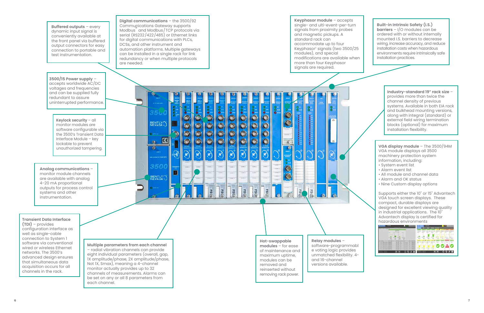**Keyphasor module** – accepts **Digital communications** – the 3500/92 single- and ulti-event-per-turn Communications Gateway supports **Buffered outputs** – every Modbus ® and Modbus/TCP protocols via signals from proximity probes dynamic input signal is and magnetic pickups. A serial (RS232/422/485) or Ethernet links conveniently available at standard rack can for digital communications with PLCs, the front panel via buffered accommodate up to four DCSs, and other instrument and output connectors for easy automation platforms. Multiple gateways Keyphasor † signals (two 3500/25 connection to portable and modules), and special can be installed in a single rack for link test instrumentation. modifications are available when redundancy or when multiple protocols more than four Keyphasor are needed. signals are required. **3500/15 Power supply** – accepts worldwide AC/DC voltages and frequencies and can be supplied fully redundant to assure uninterrupted performance. e.  $\ddot{\bullet}$  $85\sigma$  $\overline{\mathbf{C}}$  $\circ$   $\circ$   $\circ$   $\circ$  $\overline{\textcircled{\circ}}$  $\bullet$  $\odot$ 000  $000$  $\overline{0}$ . $\overline{0}$ **Keylock security** – all  $\overline{\mathbb{C}}$ **BENTLY**  $\overline{\bullet}$ monitor modules are software configurable via  $\left| \frac{1}{\sqrt{2}} \right|$  $\ddot{\bullet}$ the 3500's Transient Data  $\overline{c}$  $\ddot{\bullet}$ Interface Module – key  $\ddot{\bullet}$  $\bullet$  $\bullet$  $\odot$  $\bullet$  $\bullet$  $\circledcirc$  $\odot$ lockable to prevent unauthorized tampering.  $\mathbf{a}$  $\widehat{\mathbf{w}}$  $\mathbf{r}$  $\mathbf{G}$  $\mathbf{C}$ 350  $\frac{1}{2}$ **Analog communications** – 圖  $\equiv$ monitor module channels  $\overline{\odot}$ BENTLY are available with analog 4-20 mA proportional **ESG** FS(% outputs for process control FSG Ba **ESG BSG** ESC systems and other instrumentation. **Transient Data Interface (TDI)** – provides configuration interface as well as single-cable connection to System 1 **Relay modules** – **Hot-swappable**  software via conventional **Multiple parameters from each channel modules** – for ease software-programmabl wired or wireless Ethernet – radial vibration channels can provide e voting logic provides of maintenance and networks. The 3500's eight individual parameters (overall, gap, unmatched flexibility. 4 maximum uptime, advanced design ensures and 16-channel modules can be that simultaneous data

acquisition occurs for all channels in the rack.

1X amplitude/phase, 2X amplitude/phase, Not 1X, Smax), meaning a 4-channel monitor actually provides up to 32 channels of measurements. Alarms can be set on any or all 8 parameters from each channel.



versions available.

removed and reinserted without removing rack power .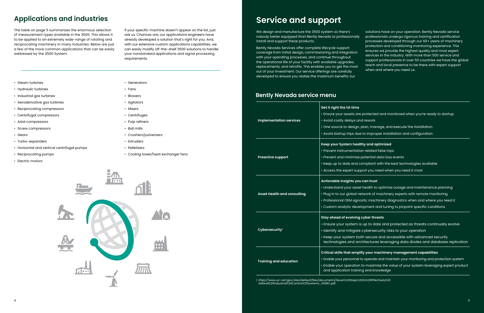### **Applications and industries**

The table on page 5 summarizes the enormous selection of measurement types available in the 3500. This allows it to be applied to an extremely wide-range of rotating and reciprocating machinery in many industries. Below are just a few of the more common applications that can be easily addressed by the 3500 System.

If your specific machine doesn't appear on the list, just ask us. Chances are, our applications engineers have already developed a solution that's right for you. And, with our extensive custom applications capabilities, we can easily modify off-the-shelf 3500 solutions to handle your nonstandard applications and signal processing requirements.

- Steam turbines
- Hydraulic turbines
- Industrial gas turbines
- Aeroderivative gas turbines
- Reciprocating compressors
- Centrifugal compressors
- Axial compressors
- Screw compressors
- Gears
- Turbo-expanders
- Horizontal and vertical centrifugal pumps
- Reciprocating pumps
- Electric motors
- Generators
- Fans
- Blowers
- Agitators
- Mixers
- Centrifuges
- Pulp refiners
- Ball mills
- Crushers/pulverizers
- Extruders
- Pelletizers
- Cooling tower/heat exchanger fans



## **Service and support**

out of your investment. Our service offerings are carefully developed to ensure you realize the maximum benefits our

We design and manufacture the 3500 system so there's nobody better equipped than Bently Nevada to professionally install and support these products. Bently Nevada Services offer complete lifecycle support coverage from initial design, commissioning and integration with your operating processes, and continue throughout the operational life of your facility with available upgrades, replacements, and retrofits. This enables you to get the most solutions have on your operation. Bently Nevada service professionals undergo rigorous training and certification processes developed through our 60+ years of machinery protection and conditioning monitoring experience. This ensures we provide the highest quality and most expert services in the industry. With more than 500 service and support professionals in over 50 countries we have the global reach and local presence to be there with expert support when and where you need us.

|                                    | Get it right the 1st time       |
|------------------------------------|---------------------------------|
|                                    | • Ensure your assets ar         |
| <b>Implementation services</b>     | • Avoid costly delays a         |
|                                    | · One source to design          |
|                                    | • Avoid startup trips du        |
|                                    | Keep your System hea            |
|                                    | • Prevent instrumentati         |
| <b>Proactive support</b>           | • Prevent and minimize          |
|                                    | • Keep up to date and           |
|                                    | • Access the expert sup         |
|                                    | Actionable insights yo          |
|                                    | • Understand your asse          |
| <b>Asset Health and consulting</b> | · Plug in to our global r       |
|                                    | • Professional OEM agn          |
|                                    | · Custom analytic deve          |
|                                    | <b>Stay ahead of evolving</b>   |
| Cybersecurity <sup>1</sup>         | • Ensure your system            |
|                                    | · Identify and mitigate         |
|                                    | • Keep your system be           |
|                                    | technologies and ar             |
|                                    | <b>Critical skills that amp</b> |
| <b>Training and education</b>      | • Enable your personnel         |
|                                    | · Enable your operatior         |
|                                    | and application train           |

#### **Critical skills that amplify your machinery management capabilities**

- el to operate and maintain your monitoring and protection system
- on to maximize the value of your system leveraging expert product ning and knowledge

1. https://www.us-cert.gov/sites/default/files/documents/Seven%20Steps%20to%20Effectively%20 Defend%20Industrial%20Control%20Systems\_S508C.pdf

- re protected and monitored when you're ready to startup
- and rework
- $n$ , plan, manage, and execute the installation
- lue to improper installation and configuration

#### **Kalthy and optimized**

- ation related false trips
- ze potential data loss events
- d compliant with the best technologies available
- upport you need when you need it most

### **Action ou can trust**

- et health to optimize outage and maintenance planning
- network of machinery experts with remote monitoring
- $p$  prostic machinery diagnostics when and where you need it
- velopment and tuning to pinpoint specific conditions

#### **Stay as in threats**

- n is up to date and protected as threats continually evolve
- te cybersecurity risks to your operation
- both secure and accessible with advanced security architectures leveraging data diodes and database replication

### **Bently Nevada service menu**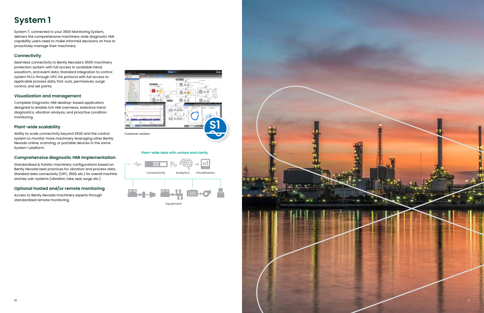## **System 1**

System 1† , connected to your 3500 Monitoring System, delivers the comprehensive machinery wide diagnostic HMI capability users need to make informed decisions on how to proactively manage their machinery.

### **Connectivity**

Seamless connectivity to Bently Nevada's 3500 machinery protection system with full access to available trend, waveform, and event data. Standard integration to control system PLCs through OPC DA protocol with full access to applicable process data, first-outs, permissives, surge control, and set points.

### **Visualization and management**

Complete Diagnostic HMI desktop-based application, designed to enable rich HMI overviews, extensive trend diagnostics, vibration analysis, and proactive condition monitoring.

### **Plant-wide scalability**

Ability to scale connectivity beyond 3500 and the control system to monitor more machinery leveraging other Bently Nevada online, scanning, or portable devices in the same System 1 platform.

### **Comprehensive diagnostic HMI implementation**

Standardized & holistic machinery configurations based on Bently Nevada best practices for vibration and process data. Standard data connectivity (OPC, 3500, etc.) for overall machine and key sub-systems (vibration, lube, seal, surge, etc.).

### **Optional hosted and/or remote monitoring**

Access to Bently Nevada machinery experts through standardized remote monitoring.



### **Plant-wide data with context and clarity**